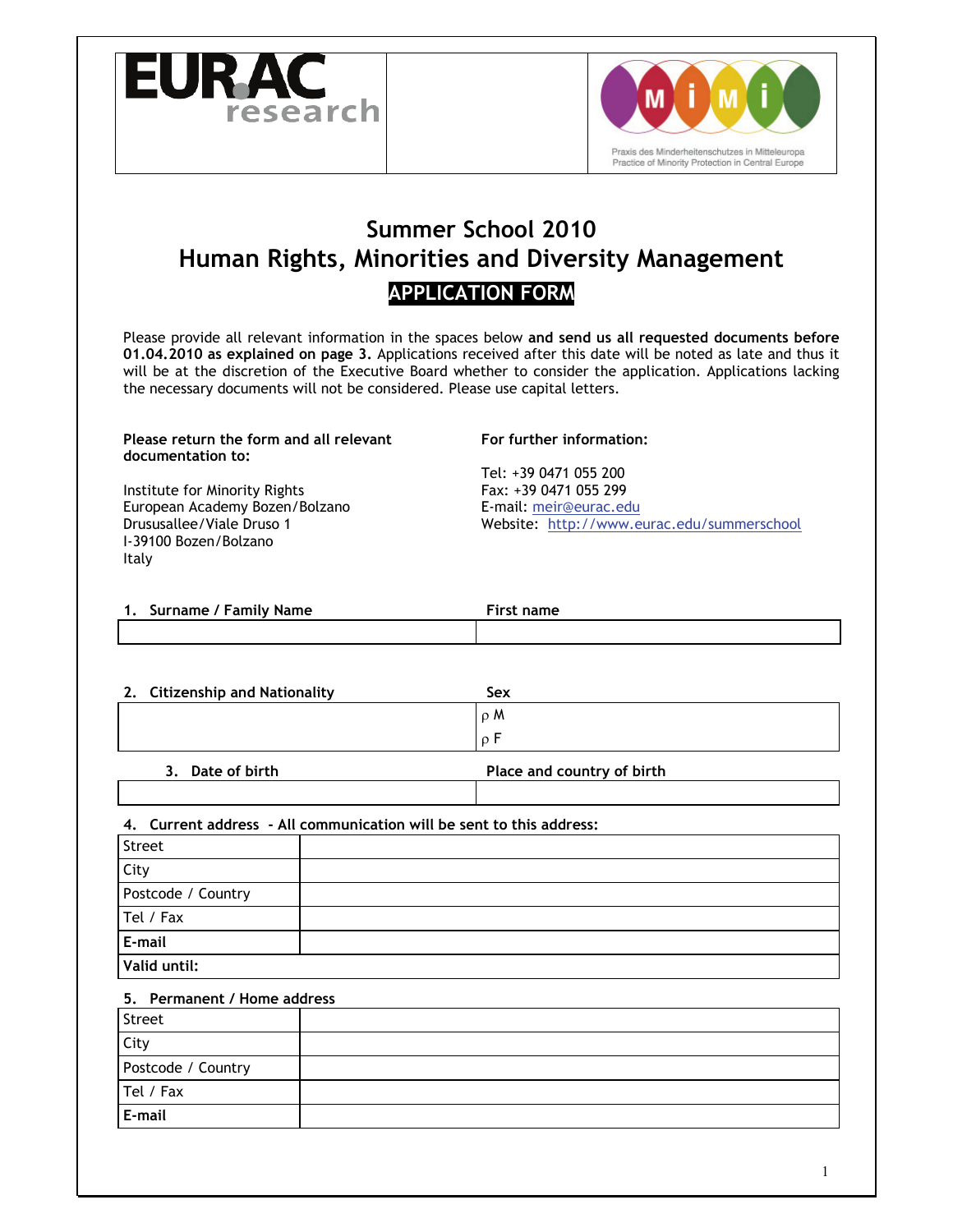



# **Summer School 2010 Human Rights, Minorities and Diversity Management APPLICATION FORM**

Please provide all relevant information in the spaces below **and send us all requested documents before 01.04.2010 as explained on page 3.** Applications received after this date will be noted as late and thus it will be at the discretion of the Executive Board whether to consider the application. Applications lacking the necessary documents will not be considered. Please use capital letters.

#### **Please return the form and all relevant documentation to:**

Institute for Minority Rights European Academy Bozen/Bolzano Drususallee/Viale Druso 1 I-39100 Bozen/Bolzano Italy

# **For further information:**

Tel: +39 0471 055 200 Fax: +39 0471 055 299 E-mail: meir@eurac.edu Website: http://www.eurac.edu/summerschool

| . Surname / Family Name | First name |
|-------------------------|------------|
|                         |            |

| 2. Citizenship and Nationality | Sex                                                                                                                     |
|--------------------------------|-------------------------------------------------------------------------------------------------------------------------|
|                                | o M                                                                                                                     |
|                                |                                                                                                                         |
| .                              | $-1$<br>the contract of the contract of the contract of the contract of the contract of the contract of the contract of |

| 3. Date of birth | Place and country of birth |
|------------------|----------------------------|
|                  |                            |

# **4. Current address - All communication will be sent to this address:**

| Street             |  |  |
|--------------------|--|--|
| City               |  |  |
| Postcode / Country |  |  |
| Tel / Fax          |  |  |
| E-mail             |  |  |
| Valid until:       |  |  |

# **5. Permanent / Home address**

| <b>Street</b>      |  |
|--------------------|--|
| City               |  |
| Postcode / Country |  |
| Tel / Fax          |  |
| E-mail             |  |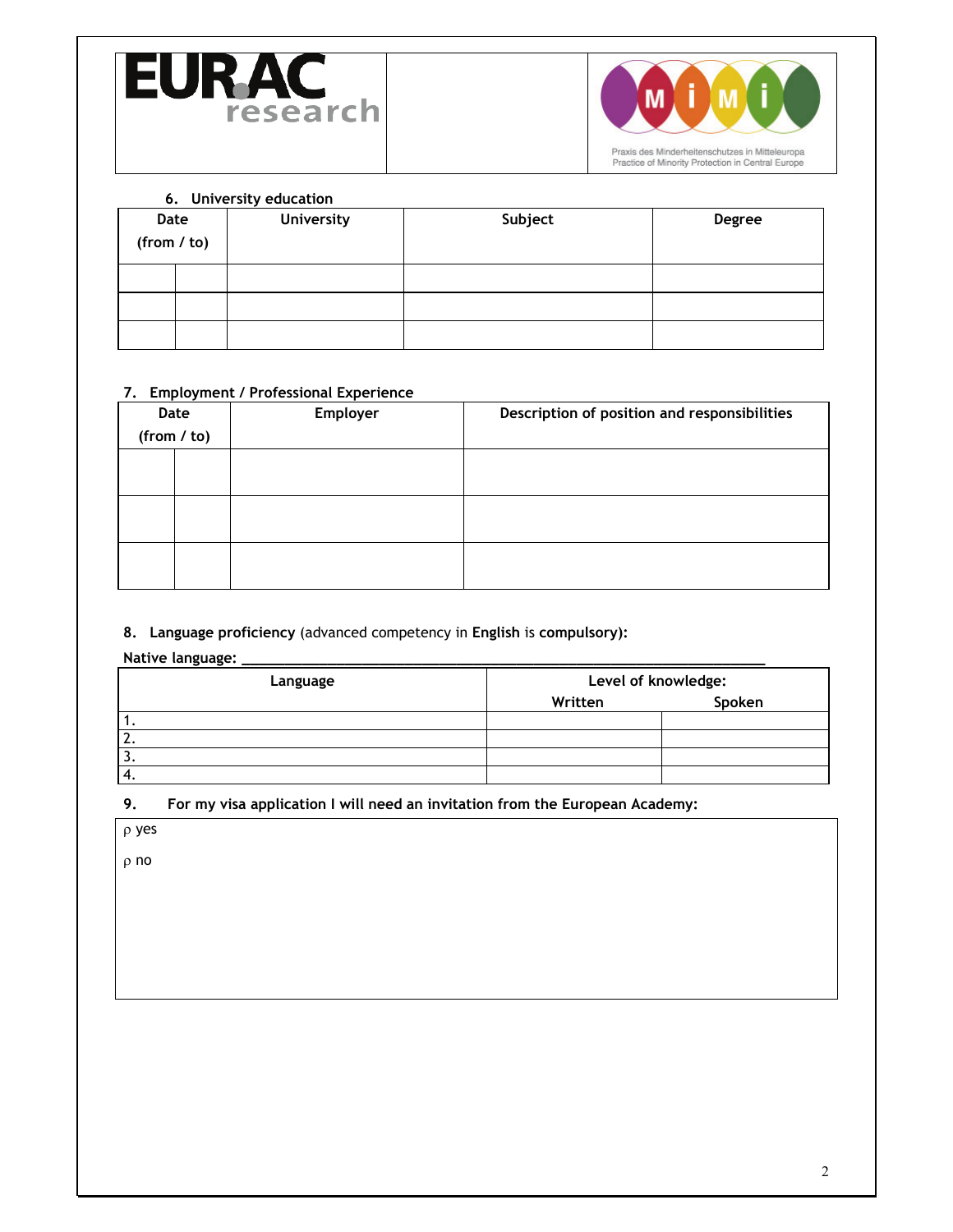



#### **6. University education**

| Date<br>(from / to) |  | <b>University</b> | Subject | <b>Degree</b> |
|---------------------|--|-------------------|---------|---------------|
|                     |  |                   |         |               |
|                     |  |                   |         |               |
|                     |  |                   |         |               |

# **7. Employment / Professional Experience**

| Date<br>(from / to) | Employer | Description of position and responsibilities |
|---------------------|----------|----------------------------------------------|
|                     |          |                                              |
|                     |          |                                              |
|                     |          |                                              |

# **8. Language proficiency** (advanced competency in **English** is **compulsory):**

#### Native language:

| Language   | Level of knowledge: |        |
|------------|---------------------|--------|
|            | Written             | Spoken |
|            |                     |        |
| <u>.</u> . |                     |        |
| J.         |                     |        |
| ᠇.         |                     |        |

# **9. For my visa application I will need an invitation from the European Academy:**

ρ yes

ρ no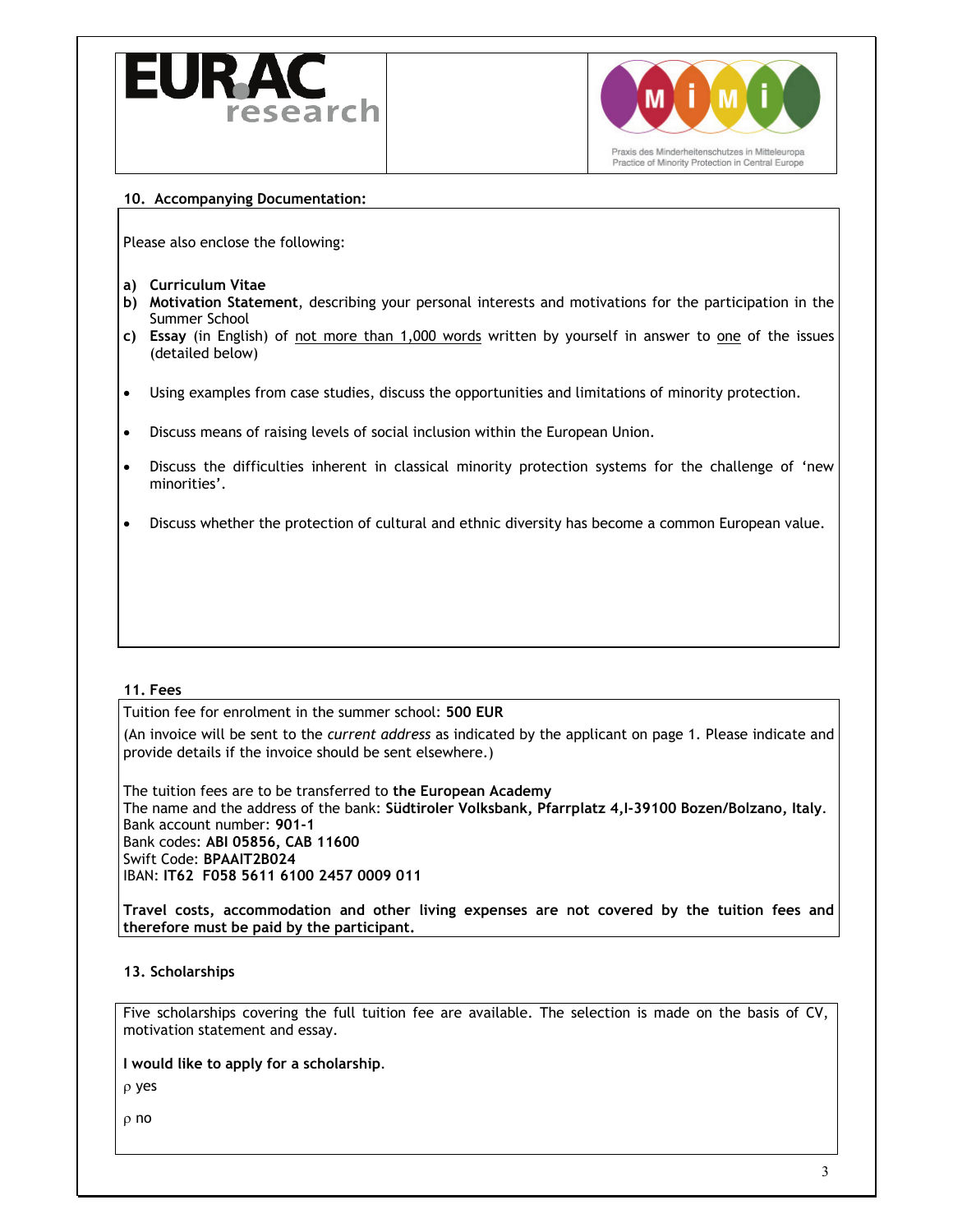



#### **10. Accompanying Documentation:**

Please also enclose the following:

- **a) Curriculum Vitae**
- **b) Motivation Statement**, describing your personal interests and motivations for the participation in the Summer School
- **c) Essay** (in English) of not more than 1,000 words written by yourself in answer to one of the issues (detailed below)
- Using examples from case studies, discuss the opportunities and limitations of minority protection.
- Discuss means of raising levels of social inclusion within the European Union.
- Discuss the difficulties inherent in classical minority protection systems for the challenge of 'new minorities'.
- Discuss whether the protection of cultural and ethnic diversity has become a common European value.

# **11. Fees**

Tuition fee for enrolment in the summer school: **500 EUR**

(An invoice will be sent to the *current address* as indicated by the applicant on page 1. Please indicate and provide details if the invoice should be sent elsewhere.)

The tuition fees are to be transferred to **the European Academy** The name and the address of the bank: **Südtiroler Volksbank, Pfarrplatz 4,I-39100 Bozen/Bolzano, Italy**. Bank account number: **901-1** Bank codes: **ABI 05856, CAB 11600** Swift Code: **BPAAIT2B024**  IBAN: **IT62 F058 5611 6100 2457 0009 011** 

**Travel costs, accommodation and other living expenses are not covered by the tuition fees and therefore must be paid by the participant.**

# **13. Scholarships**

Five scholarships covering the full tuition fee are available. The selection is made on the basis of CV, motivation statement and essay.

# **I would like to apply for a scholarship**.

ρ yes

ρ no